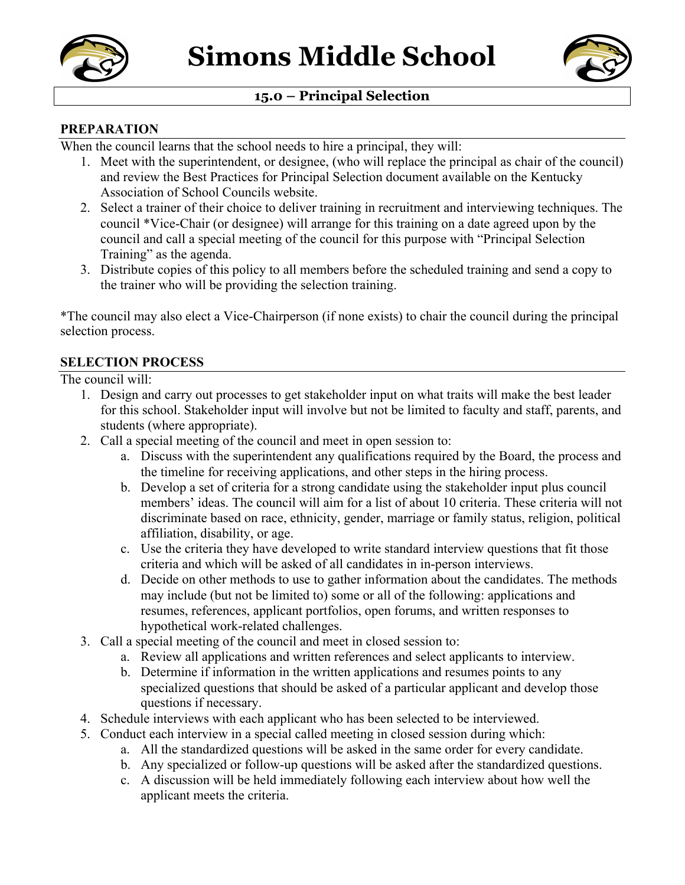



# **15.0 – Principal Selection**

#### **PREPARATION**

When the council learns that the school needs to hire a principal, they will:

- 1. Meet with the superintendent, or designee, (who will replace the principal as chair of the council) and review the Best Practices for Principal Selection document available on the Kentucky Association of School Councils website.
- 2. Select a trainer of their choice to deliver training in recruitment and interviewing techniques. The council \*Vice-Chair (or designee) will arrange for this training on a date agreed upon by the council and call a special meeting of the council for this purpose with "Principal Selection Training" as the agenda.
- 3. Distribute copies of this policy to all members before the scheduled training and send a copy to the trainer who will be providing the selection training.

\*The council may also elect a Vice-Chairperson (if none exists) to chair the council during the principal selection process.

### **SELECTION PROCESS**

The council will:

- 1. Design and carry out processes to get stakeholder input on what traits will make the best leader for this school. Stakeholder input will involve but not be limited to faculty and staff, parents, and students (where appropriate).
- 2. Call a special meeting of the council and meet in open session to:
	- a. Discuss with the superintendent any qualifications required by the Board, the process and the timeline for receiving applications, and other steps in the hiring process.
	- b. Develop a set of criteria for a strong candidate using the stakeholder input plus council members' ideas. The council will aim for a list of about 10 criteria. These criteria will not discriminate based on race, ethnicity, gender, marriage or family status, religion, political affiliation, disability, or age.
	- c. Use the criteria they have developed to write standard interview questions that fit those criteria and which will be asked of all candidates in in-person interviews.
	- d. Decide on other methods to use to gather information about the candidates. The methods may include (but not be limited to) some or all of the following: applications and resumes, references, applicant portfolios, open forums, and written responses to hypothetical work-related challenges.
- 3. Call a special meeting of the council and meet in closed session to:
	- a. Review all applications and written references and select applicants to interview.
	- b. Determine if information in the written applications and resumes points to any specialized questions that should be asked of a particular applicant and develop those questions if necessary.
- 4. Schedule interviews with each applicant who has been selected to be interviewed.
- 5. Conduct each interview in a special called meeting in closed session during which:
	- a. All the standardized questions will be asked in the same order for every candidate.
	- b. Any specialized or follow-up questions will be asked after the standardized questions.
	- c. A discussion will be held immediately following each interview about how well the applicant meets the criteria.